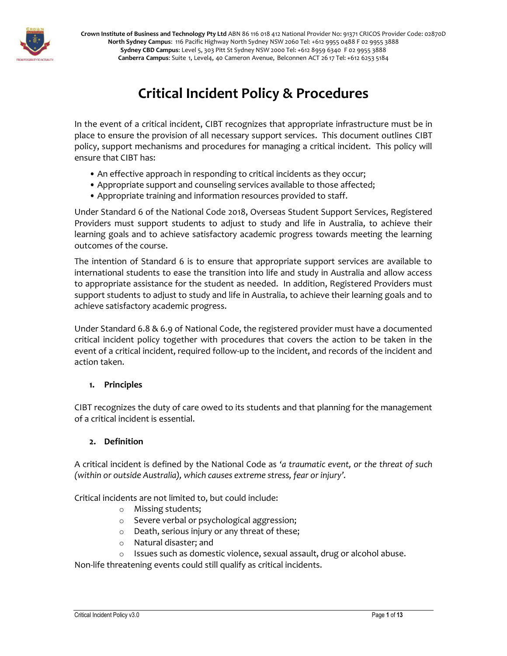

**Crown Institute of Business and Technology Pty Ltd** ABN 86 116 018 412 National Provider No: 91371 CRICOS Provider Code: 02870D **North Sydney Campus**: 116 Pacific Highway North Sydney NSW 2060 Tel: +612 9955 0488 F 02 9955 3888 **Sydney CBD Campus**: Level 5, 303 Pitt St Sydney NSW 2000 Tel: +612 8959 6340 F 02 9955 3888 **Canberra Campus**: Suite 1, Level4, 40 Cameron Avenue, Belconnen ACT 26 17 Tel: +612 6253 5184

# **Critical Incident Policy & Procedures**

In the event of a critical incident, CIBT recognizes that appropriate infrastructure must be in place to ensure the provision of all necessary support services. This document outlines CIBT policy, support mechanisms and procedures for managing a critical incident. This policy will ensure that CIBT has:

- An effective approach in responding to critical incidents as they occur;
- Appropriate support and counseling services available to those affected;
- Appropriate training and information resources provided to staff.

Under Standard 6 of the National Code 2018, Overseas Student Support Services, Registered Providers must support students to adjust to study and life in Australia, to achieve their learning goals and to achieve satisfactory academic progress towards meeting the learning outcomes of the course.

The intention of Standard 6 is to ensure that appropriate support services are available to international students to ease the transition into life and study in Australia and allow access to appropriate assistance for the student as needed. In addition, Registered Providers must support students to adjust to study and life in Australia, to achieve their learning goals and to achieve satisfactory academic progress.

Under Standard 6.8 & 6.9 of National Code, the registered provider must have a documented critical incident policy together with procedures that covers the action to be taken in the event of a critical incident, required follow-up to the incident, and records of the incident and action taken.

### **1. Principles**

CIBT recognizes the duty of care owed to its students and that planning for the management of a critical incident is essential.

### **2. Definition**

A critical incident is defined by the National Code as *'a traumatic event, or the threat of such (within or outside Australia), which causes extreme stress, fear or injury'.*

Critical incidents are not limited to, but could include:

- o Missing students;
- o Severe verbal or psychological aggression;
- o Death, serious injury or any threat of these;
- o Natural disaster; and
- o Issues such as domestic violence, sexual assault, drug or alcohol abuse.

Non-life threatening events could still qualify as critical incidents.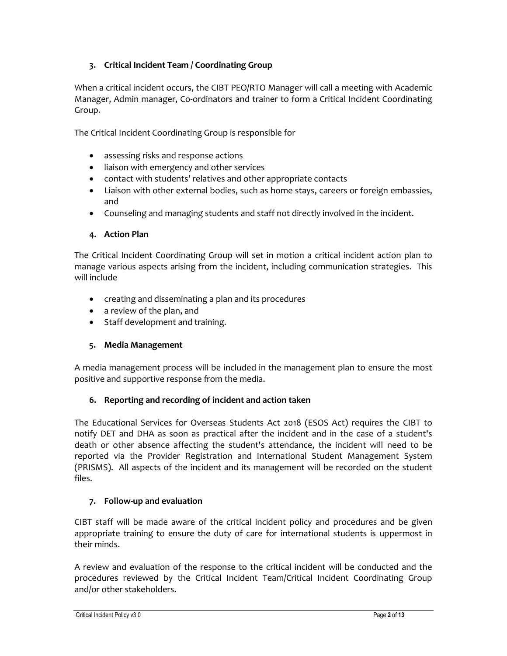## **3. Critical Incident Team / Coordinating Group**

When a critical incident occurs, the CIBT PEO/RTO Manager will call a meeting with Academic Manager, Admin manager, Co-ordinators and trainer to form a Critical Incident Coordinating Group.

The Critical Incident Coordinating Group is responsible for

- assessing risks and response actions
- liaison with emergency and other services
- contact with students' relatives and other appropriate contacts
- Liaison with other external bodies, such as home stays, careers or foreign embassies, and
- Counseling and managing students and staff not directly involved in the incident.

### **4. Action Plan**

The Critical Incident Coordinating Group will set in motion a critical incident action plan to manage various aspects arising from the incident, including communication strategies. This will include

- creating and disseminating a plan and its procedures
- a review of the plan, and
- Staff development and training.

### **5. Media Management**

A media management process will be included in the management plan to ensure the most positive and supportive response from the media.

### **6. Reporting and recording of incident and action taken**

The Educational Services for Overseas Students Act 2018 (ESOS Act) requires the CIBT to notify DET and DHA as soon as practical after the incident and in the case of a student's death or other absence affecting the student's attendance, the incident will need to be reported via the Provider Registration and International Student Management System (PRISMS). All aspects of the incident and its management will be recorded on the student files.

### **7. Follow-up and evaluation**

CIBT staff will be made aware of the critical incident policy and procedures and be given appropriate training to ensure the duty of care for international students is uppermost in their minds.

A review and evaluation of the response to the critical incident will be conducted and the procedures reviewed by the Critical Incident Team/Critical Incident Coordinating Group and/or other stakeholders.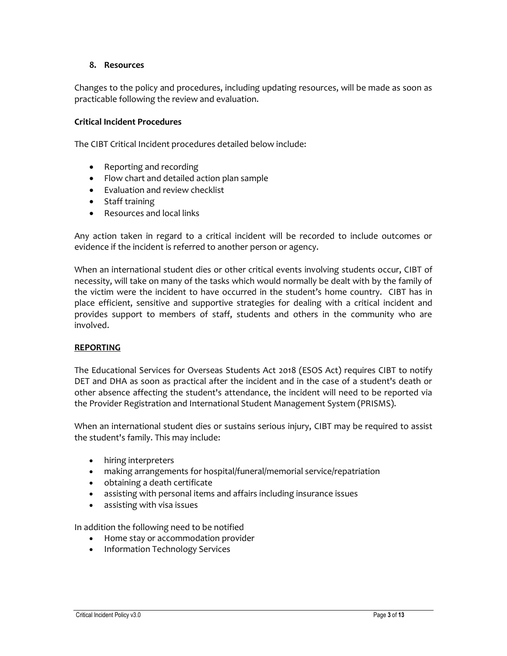### **8. Resources**

Changes to the policy and procedures, including updating resources, will be made as soon as practicable following the review and evaluation.

### **Critical Incident Procedures**

The CIBT Critical Incident procedures detailed below include:

- Reporting and recording
- Flow chart and detailed action plan sample
- Evaluation and review checklist
- Staff training
- Resources and local links

Any action taken in regard to a critical incident will be recorded to include outcomes or evidence if the incident is referred to another person or agency.

When an international student dies or other critical events involving students occur, CIBT of necessity, will take on many of the tasks which would normally be dealt with by the family of the victim were the incident to have occurred in the student's home country. CIBT has in place efficient, sensitive and supportive strategies for dealing with a critical incident and provides support to members of staff, students and others in the community who are involved.

### **REPORTING**

The Educational Services for Overseas Students Act 2018 (ESOS Act) requires CIBT to notify DET and DHA as soon as practical after the incident and in the case of a student's death or other absence affecting the student's attendance, the incident will need to be reported via the Provider Registration and International Student Management System (PRISMS).

When an international student dies or sustains serious injury, CIBT may be required to assist the student's family. This may include:

- hiring interpreters
- making arrangements for hospital/funeral/memorial service/repatriation
- obtaining a death certificate
- assisting with personal items and affairs including insurance issues
- assisting with visa issues

In addition the following need to be notified

- Home stay or accommodation provider
- Information Technology Services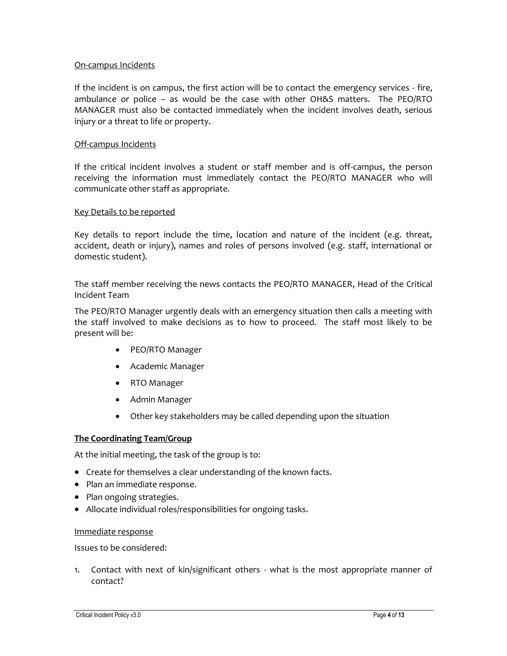### On-campus Incidents

If the incident is on campus, the first action will be to contact the emergency services - fire, ambulance or police – as would be the case with other OH&S matters. The PEO/RTO MANAGER must also be contacted immediately when the incident involves death, serious injury or a threat to life or property.

### Off-campus Incidents

If the critical incident involves a student or staff member and is off-campus, the person receiving the information must immediately contact the PEO/RTO MANAGER who will communicate other staff as appropriate.

### Key Details to be reported

Key details to report include the time, location and nature of the incident (e.g. threat, accident, death or injury), names and roles of persons involved (e.g. staff, international or domestic student).

The staff member receiving the news contacts the PEO/RTO MANAGER, Head of the Critical Incident Team

The PEO/RTO Manager urgently deals with an emergency situation then calls a meeting with the staff involved to make decisions as to how to proceed. The staff most likely to be present will be:

- PEO/RTO Manager
- Academic Manager
- RTO Manager
- Admin Manager
- Other key stakeholders may be called depending upon the situation

### **The Coordinating Team/Group**

At the initial meeting, the task of the group is to:

- Create for themselves a clear understanding of the known facts.
- Plan an immediate response.
- Plan ongoing strategies.
- Allocate individual roles/responsibilities for ongoing tasks.

### Immediate response

Issues to be considered:

1. Contact with next of kin/significant others - what is the most appropriate manner of contact?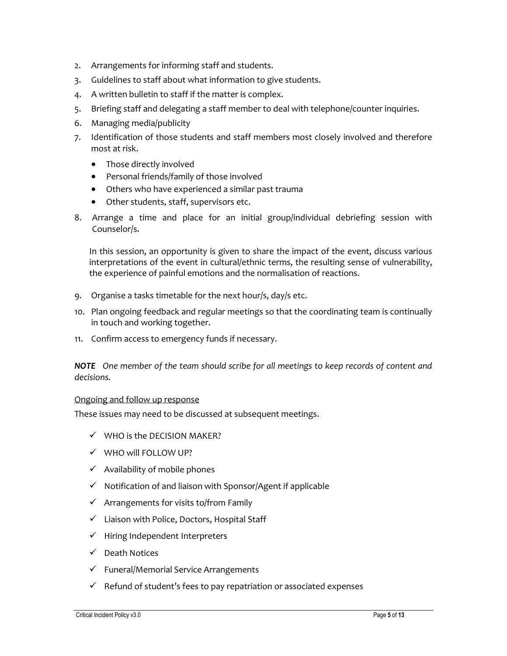- 2. Arrangements for informing staff and students.
- 3. Guidelines to staff about what information to give students.
- 4. A written bulletin to staff if the matter is complex.
- 5. Briefing staff and delegating a staff member to deal with telephone/counter inquiries.
- 6. Managing media/publicity
- 7. Identification of those students and staff members most closely involved and therefore most at risk.
	- Those directly involved
	- Personal friends/family of those involved
	- Others who have experienced a similar past trauma
	- Other students, staff, supervisors etc.
- 8. Arrange a time and place for an initial group/individual debriefing session with Counselor/s.

In this session, an opportunity is given to share the impact of the event, discuss various interpretations of the event in cultural/ethnic terms, the resulting sense of vulnerability, the experience of painful emotions and the normalisation of reactions.

- 9. Organise a tasks timetable for the next hour/s, day/s etc.
- 10. Plan ongoing feedback and regular meetings so that the coordinating team is continually in touch and working together.
- 11. Confirm access to emergency funds if necessary.

*NOTE One member of the team should scribe for all meetings to keep records of content and decisions.*

### Ongoing and follow up response

These issues may need to be discussed at subsequent meetings.

- $\checkmark$  WHO is the DECISION MAKER?
- $\checkmark$  WHO will FOLLOW UP?
- $\checkmark$  Availability of mobile phones
- $\checkmark$  Notification of and liaison with Sponsor/Agent if applicable
- $\checkmark$  Arrangements for visits to/from Family
- $\checkmark$  Liaison with Police, Doctors, Hospital Staff
- $\checkmark$  Hiring Independent Interpreters
- $\checkmark$  Death Notices
- $\checkmark$  Funeral/Memorial Service Arrangements
- $\checkmark$  Refund of student's fees to pay repatriation or associated expenses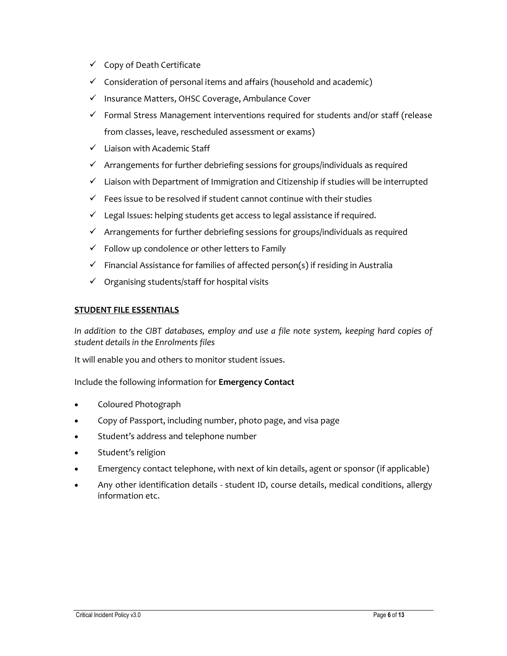- $\checkmark$  Copy of Death Certificate
- $\checkmark$  Consideration of personal items and affairs (household and academic)
- $\checkmark$  Insurance Matters, OHSC Coverage, Ambulance Cover
- $\checkmark$  Formal Stress Management interventions required for students and/or staff (release from classes, leave, rescheduled assessment or exams)
- $\checkmark$  Liaison with Academic Staff
- $\checkmark$  Arrangements for further debriefing sessions for groups/individuals as required
- $\checkmark$  Liaison with Department of Immigration and Citizenship if studies will be interrupted
- $\checkmark$  Fees issue to be resolved if student cannot continue with their studies
- $\checkmark$  Legal Issues: helping students get access to legal assistance if required.
- $\checkmark$  Arrangements for further debriefing sessions for groups/individuals as required
- $\checkmark$  Follow up condolence or other letters to Family
- $\checkmark$  Financial Assistance for families of affected person(s) if residing in Australia
- $\checkmark$  Organising students/staff for hospital visits

### **STUDENT FILE ESSENTIALS**

*In addition to the CIBT databases, employ and use a file note system, keeping hard copies of student details in the Enrolments files*

It will enable you and others to monitor student issues.

Include the following information for **Emergency Contact**

- Coloured Photograph
- Copy of Passport, including number, photo page, and visa page
- Student's address and telephone number
- Student's religion
- Emergency contact telephone, with next of kin details, agent or sponsor (if applicable)
- Any other identification details student ID, course details, medical conditions, allergy information etc.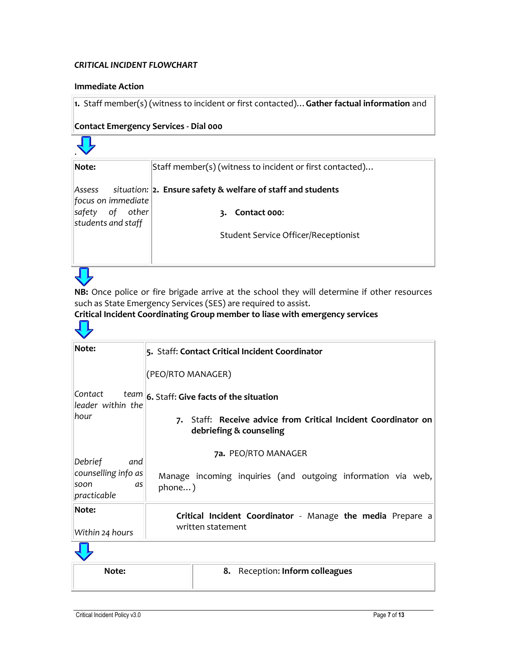### *CRITICAL INCIDENT FLOWCHART*

### **Immediate Action**

**1.** Staff member(s) (witness to incident or first contacted)…**Gather factual information** and

### **Contact Emergency Services - Dial 000**

| Note:                                    | Staff member(s) (witness to incident or first contacted)    |
|------------------------------------------|-------------------------------------------------------------|
| Assess<br>focus on immediate             | situation: 2. Ensure safety & welfare of staff and students |
| of other<br>safety<br>students and staff | Contact 000:                                                |
|                                          | <b>Student Service Officer/Receptionist</b>                 |



ЛL

**NB:** Once police or fire brigade arrive at the school they will determine if other resources such as State Emergency Services (SES) are required to assist.

# **Critical Incident Coordinating Group member to liase with emergency services**

| Note:                                                              | 5. Staff: Contact Critical Incident Coordinator                                           |  |  |
|--------------------------------------------------------------------|-------------------------------------------------------------------------------------------|--|--|
|                                                                    | (PEO/RTO MANAGER)                                                                         |  |  |
| Contact <br>lleader within the                                     | team 6. Staff: Give facts of the situation                                                |  |  |
| hour                                                               | 7. Staff: Receive advice from Critical Incident Coordinator on<br>debriefing & counseling |  |  |
| Debrief<br>and<br>counselling info as<br>soon<br>as<br>practicable | 7a. PEO/RTO MANAGER                                                                       |  |  |
|                                                                    | Manage incoming inquiries (and outgoing information via web,<br>phone)                    |  |  |
| Note:                                                              | Critical Incident Coordinator - Manage the media Prepare a                                |  |  |
| Within 24 hours                                                    | written statement                                                                         |  |  |



| Note: | 8. Reception: Inform colleagues |
|-------|---------------------------------|
|       |                                 |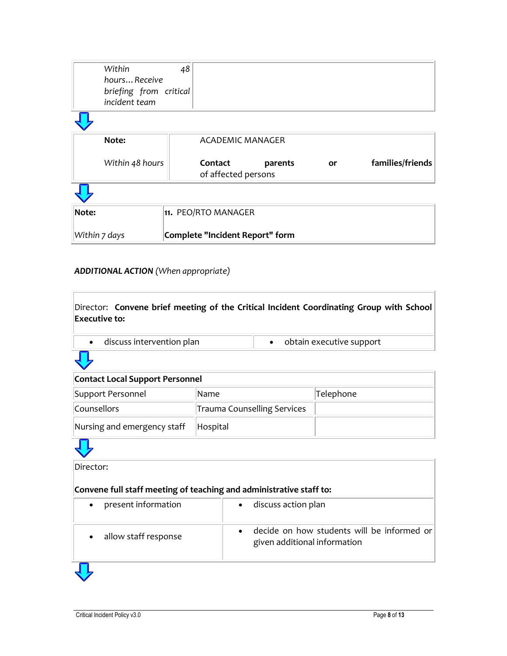| Within<br>hoursReceive<br>briefing from critical<br>incident team | 48 |                                 |         |           |                  |
|-------------------------------------------------------------------|----|---------------------------------|---------|-----------|------------------|
|                                                                   |    |                                 |         |           |                  |
| Note:                                                             |    | <b>ACADEMIC MANAGER</b>         |         |           |                  |
| Within 48 hours                                                   |    | Contact<br>of affected persons  | parents | <b>or</b> | families/friends |
|                                                                   |    |                                 |         |           |                  |
| Note:                                                             |    | 11. PEO/RTO MANAGER             |         |           |                  |
| Within 7 days                                                     |    | Complete "Incident Report" form |         |           |                  |

# *ADDITIONAL ACTION (When appropriate)*

| Director: Convene brief meeting of the Critical Incident Coordinating Group with School<br><b>Executive to:</b> |                                    |                                                                            |                          |  |
|-----------------------------------------------------------------------------------------------------------------|------------------------------------|----------------------------------------------------------------------------|--------------------------|--|
| discuss intervention plan<br>$\bullet$                                                                          |                                    | $\bullet$                                                                  | obtain executive support |  |
|                                                                                                                 |                                    |                                                                            |                          |  |
| <b>Contact Local Support Personnel</b>                                                                          |                                    |                                                                            |                          |  |
| Support Personnel                                                                                               | Name                               |                                                                            | Telephone                |  |
| Counsellors                                                                                                     | <b>Trauma Counselling Services</b> |                                                                            |                          |  |
| Nursing and emergency staff                                                                                     | Hospital                           |                                                                            |                          |  |
|                                                                                                                 |                                    |                                                                            |                          |  |
| Director:                                                                                                       |                                    |                                                                            |                          |  |
| Convene full staff meeting of teaching and administrative staff to:                                             |                                    |                                                                            |                          |  |
| present information                                                                                             |                                    | discuss action plan                                                        |                          |  |
| allow staff response                                                                                            |                                    | decide on how students will be informed or<br>given additional information |                          |  |
|                                                                                                                 |                                    |                                                                            |                          |  |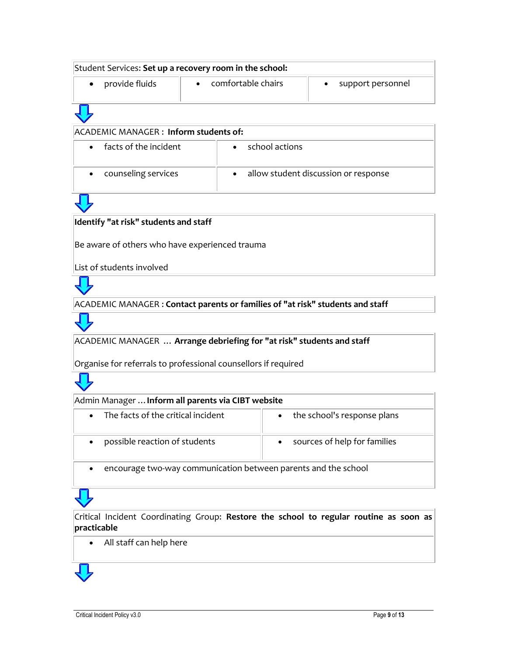| Student Services: Set up a recovery room in the school: |                    |                                      |  |  |  |
|---------------------------------------------------------|--------------------|--------------------------------------|--|--|--|
| provide fluids                                          | comfortable chairs | support personnel                    |  |  |  |
|                                                         |                    |                                      |  |  |  |
| ACADEMIC MANAGER: Inform students of:                   |                    |                                      |  |  |  |
| facts of the incident                                   | school actions     |                                      |  |  |  |
| counseling services                                     |                    | allow student discussion or response |  |  |  |

### **Identify "at risk" students and staff**

Be aware of others who have experienced trauma

List of students involved

ACADEMIC MANAGER : **Contact parents or families of "at risk" students and staff**

ACADEMIC MANAGER … **Arrange debriefing for "at risk" students and staff**

Organise for referrals to professional counsellors if required



| Admin Manager  Inform all parents via CIBT website                                                      |                                           |  |  |  |
|---------------------------------------------------------------------------------------------------------|-------------------------------------------|--|--|--|
| The facts of the critical incident<br>$\bullet$                                                         | • the school's response plans             |  |  |  |
| possible reaction of students                                                                           | sources of help for families<br>$\bullet$ |  |  |  |
| المتحامين والماليان والمستحقق والمتحدث والمتحال والمتاري والمتحدث والمتحدث والمناسبة والمستحدث والمتحدث |                                           |  |  |  |

encourage two-way communication between parents and the school

# Critical Incident Coordinating Group: **Restore the school to regular routine as soon as practicable**

All staff can help here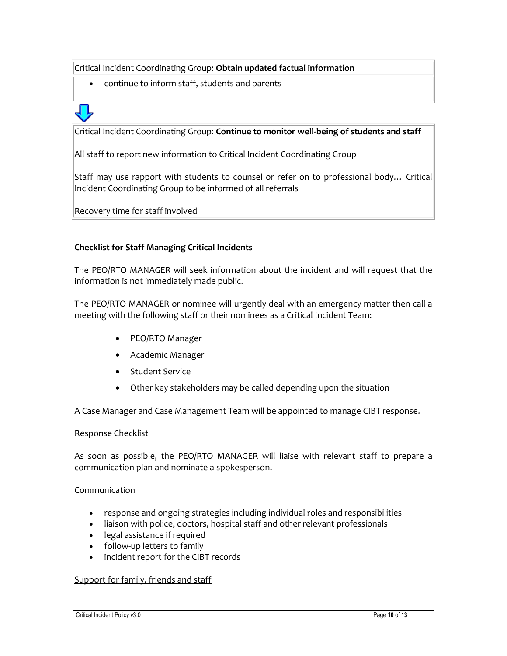Critical Incident Coordinating Group: **Obtain updated factual information**

continue to inform staff, students and parents



Critical Incident Coordinating Group: **Continue to monitor well-being of students and staff**

All staff to report new information to Critical Incident Coordinating Group

Staff may use rapport with students to counsel or refer on to professional body… Critical Incident Coordinating Group to be informed of all referrals

Recovery time for staff involved

### **Checklist for Staff Managing Critical Incidents**

The PEO/RTO MANAGER will seek information about the incident and will request that the information is not immediately made public.

The PEO/RTO MANAGER or nominee will urgently deal with an emergency matter then call a meeting with the following staff or their nominees as a Critical Incident Team:

- PEO/RTO Manager
- Academic Manager
- Student Service
- Other key stakeholders may be called depending upon the situation

A Case Manager and Case Management Team will be appointed to manage CIBT response.

### Response Checklist

As soon as possible, the PEO/RTO MANAGER will liaise with relevant staff to prepare a communication plan and nominate a spokesperson.

### Communication

- response and ongoing strategies including individual roles and responsibilities
- liaison with police, doctors, hospital staff and other relevant professionals
- legal assistance if required
- follow-up letters to family
- incident report for the CIBT records

### Support for family, friends and staff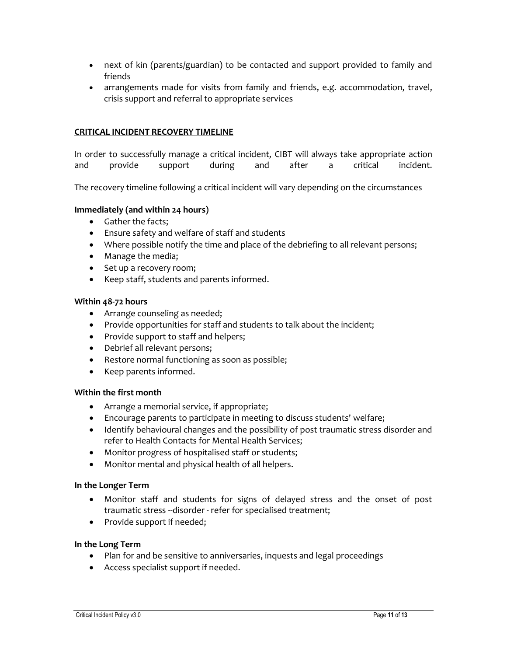- next of kin (parents/guardian) to be contacted and support provided to family and friends
- arrangements made for visits from family and friends, e.g. accommodation, travel, crisis support and referral to appropriate services

### **CRITICAL INCIDENT RECOVERY TIMELINE**

In order to successfully manage a critical incident, CIBT will always take appropriate action and provide support during and after a critical incident.

The recovery timeline following a critical incident will vary depending on the circumstances

### **Immediately (and within 24 hours)**

- Gather the facts;
- Ensure safety and welfare of staff and students
- Where possible notify the time and place of the debriefing to all relevant persons;
- Manage the media;
- Set up a recovery room;
- Keep staff, students and parents informed.

### **Within 48-72 hours**

- Arrange counseling as needed;
- Provide opportunities for staff and students to talk about the incident;
- Provide support to staff and helpers;
- Debrief all relevant persons;
- Restore normal functioning as soon as possible;
- Keep parents informed.

### **Within the first month**

- Arrange a memorial service, if appropriate;
- Encourage parents to participate in meeting to discuss students' welfare;
- Identify behavioural changes and the possibility of post traumatic stress disorder and refer to Health Contacts for Mental Health Services;
- Monitor progress of hospitalised staff or students;
- Monitor mental and physical health of all helpers.

### **In the Longer Term**

- Monitor staff and students for signs of delayed stress and the onset of post traumatic stress --disorder - refer for specialised treatment;
- Provide support if needed;

### **In the Long Term**

- Plan for and be sensitive to anniversaries, inquests and legal proceedings
- Access specialist support if needed.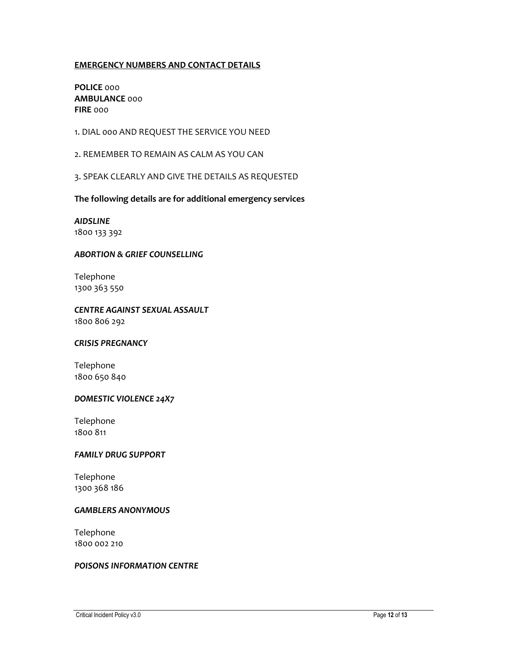### **EMERGENCY NUMBERS AND CONTACT DETAILS**

**POLICE** 000 **AMBULANCE** 000 **FIRE** 000

1. DIAL 000 AND REQUEST THE SERVICE YOU NEED

2. REMEMBER TO REMAIN AS CALM AS YOU CAN

3. SPEAK CLEARLY AND GIVE THE DETAILS AS REQUESTED

**The following details are for additional emergency services** 

*AIDSLINE* 1800 133 392

### *ABORTION & GRIEF COUNSELLING*

Telephone 1300 363 550

*CENTRE AGAINST SEXUAL ASSAULT* 1800 806 292

### *CRISIS PREGNANCY*

Telephone 1800 650 840

### *DOMESTIC VIOLENCE 24X7*

Telephone 1800 811

### *FAMILY DRUG SUPPORT*

Telephone 1300 368 186

### *GAMBLERS ANONYMOUS*

Telephone 1800 002 210

### *POISONS INFORMATION CENTRE*